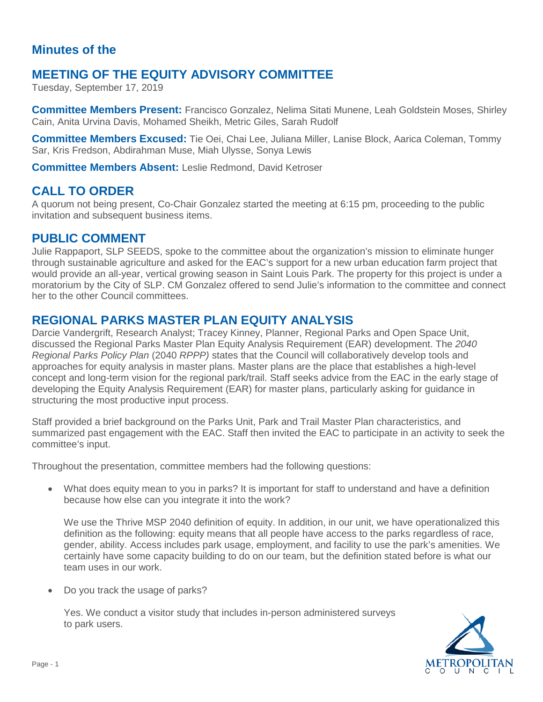### **Minutes of the**

## **MEETING OF THE EQUITY ADVISORY COMMITTEE**

Tuesday, September 17, 2019

**Committee Members Present:** Francisco Gonzalez, Nelima Sitati Munene, Leah Goldstein Moses, Shirley Cain, Anita Urvina Davis, Mohamed Sheikh, Metric Giles, Sarah Rudolf

**Committee Members Excused:** Tie Oei, Chai Lee, Juliana Miller, Lanise Block, Aarica Coleman, Tommy Sar, Kris Fredson, Abdirahman Muse, Miah Ulysse, Sonya Lewis

**Committee Members Absent:** Leslie Redmond, David Ketroser

#### **CALL TO ORDER**

A quorum not being present, Co-Chair Gonzalez started the meeting at 6:15 pm, proceeding to the public invitation and subsequent business items.

## **PUBLIC COMMENT**

Julie Rappaport, SLP SEEDS, spoke to the committee about the organization's mission to eliminate hunger through sustainable agriculture and asked for the EAC's support for a new urban education farm project that would provide an all-year, vertical growing season in Saint Louis Park. The property for this project is under a moratorium by the City of SLP. CM Gonzalez offered to send Julie's information to the committee and connect her to the other Council committees.

#### **REGIONAL PARKS MASTER PLAN EQUITY ANALYSIS**

Darcie Vandergrift, Research Analyst; Tracey Kinney, Planner, Regional Parks and Open Space Unit, discussed the Regional Parks Master Plan Equity Analysis Requirement (EAR) development. The *2040 Regional Parks Policy Plan* (2040 *RPPP)* states that the Council will collaboratively develop tools and approaches for equity analysis in master plans. Master plans are the place that establishes a high-level concept and long-term vision for the regional park/trail. Staff seeks advice from the EAC in the early stage of developing the Equity Analysis Requirement (EAR) for master plans, particularly asking for guidance in structuring the most productive input process.

Staff provided a brief background on the Parks Unit, Park and Trail Master Plan characteristics, and summarized past engagement with the EAC. Staff then invited the EAC to participate in an activity to seek the committee's input.

Throughout the presentation, committee members had the following questions:

• What does equity mean to you in parks? It is important for staff to understand and have a definition because how else can you integrate it into the work?

We use the Thrive MSP 2040 definition of equity. In addition, in our unit, we have operationalized this definition as the following: equity means that all people have access to the parks regardless of race, gender, ability. Access includes park usage, employment, and facility to use the park's amenities. We certainly have some capacity building to do on our team, but the definition stated before is what our team uses in our work.

• Do you track the usage of parks?

Yes. We conduct a visitor study that includes in-person administered surveys to park users.

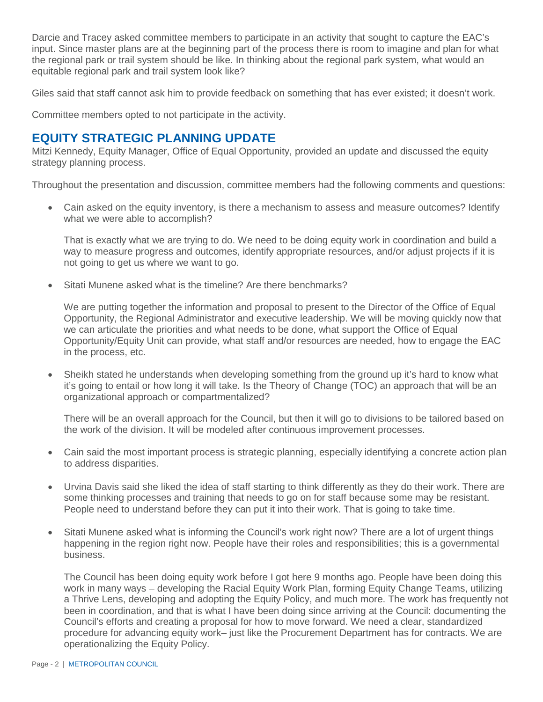Darcie and Tracey asked committee members to participate in an activity that sought to capture the EAC's input. Since master plans are at the beginning part of the process there is room to imagine and plan for what the regional park or trail system should be like. In thinking about the regional park system, what would an equitable regional park and trail system look like?

Giles said that staff cannot ask him to provide feedback on something that has ever existed; it doesn't work.

Committee members opted to not participate in the activity.

## **EQUITY STRATEGIC PLANNING UPDATE**

Mitzi Kennedy, Equity Manager, Office of Equal Opportunity, provided an update and discussed the equity strategy planning process.

Throughout the presentation and discussion, committee members had the following comments and questions:

• Cain asked on the equity inventory, is there a mechanism to assess and measure outcomes? Identify what we were able to accomplish?

That is exactly what we are trying to do. We need to be doing equity work in coordination and build a way to measure progress and outcomes, identify appropriate resources, and/or adjust projects if it is not going to get us where we want to go.

• Sitati Munene asked what is the timeline? Are there benchmarks?

We are putting together the information and proposal to present to the Director of the Office of Equal Opportunity, the Regional Administrator and executive leadership. We will be moving quickly now that we can articulate the priorities and what needs to be done, what support the Office of Equal Opportunity/Equity Unit can provide, what staff and/or resources are needed, how to engage the EAC in the process, etc.

• Sheikh stated he understands when developing something from the ground up it's hard to know what it's going to entail or how long it will take. Is the Theory of Change (TOC) an approach that will be an organizational approach or compartmentalized?

There will be an overall approach for the Council, but then it will go to divisions to be tailored based on the work of the division. It will be modeled after continuous improvement processes.

- Cain said the most important process is strategic planning, especially identifying a concrete action plan to address disparities.
- Urvina Davis said she liked the idea of staff starting to think differently as they do their work. There are some thinking processes and training that needs to go on for staff because some may be resistant. People need to understand before they can put it into their work. That is going to take time.
- Sitati Munene asked what is informing the Council's work right now? There are a lot of urgent things happening in the region right now. People have their roles and responsibilities; this is a governmental business.

The Council has been doing equity work before I got here 9 months ago. People have been doing this work in many ways – developing the Racial Equity Work Plan, forming Equity Change Teams, utilizing a Thrive Lens, developing and adopting the Equity Policy, and much more. The work has frequently not been in coordination, and that is what I have been doing since arriving at the Council: documenting the Council's efforts and creating a proposal for how to move forward. We need a clear, standardized procedure for advancing equity work– just like the Procurement Department has for contracts. We are operationalizing the Equity Policy.